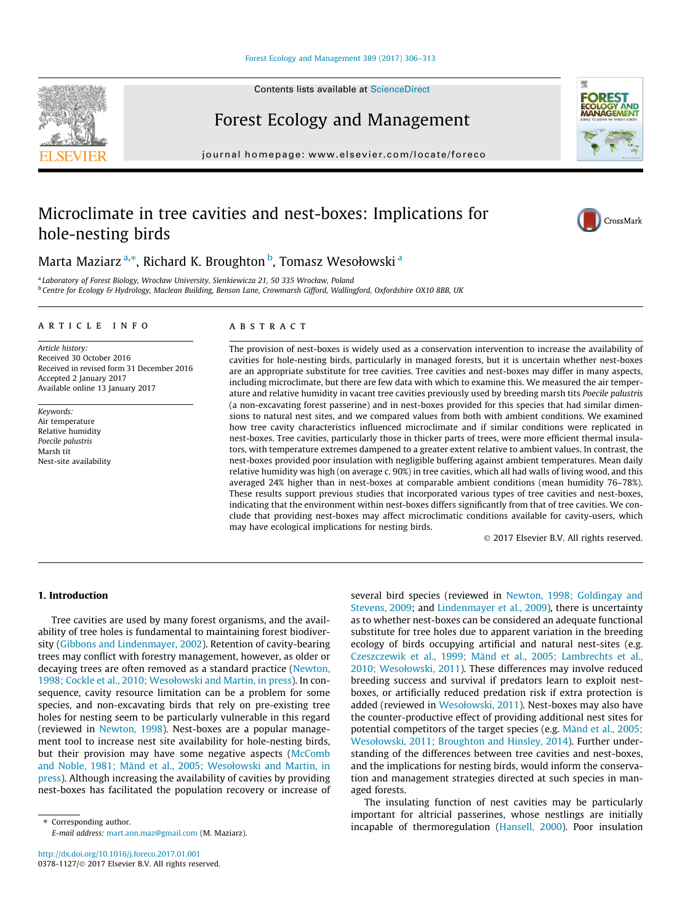## [Forest Ecology and Management 389 \(2017\) 306–313](http://dx.doi.org/10.1016/j.foreco.2017.01.001)

Forest Ecology and Management

journal homepage: [www.elsevier.com/locate/foreco](http://www.elsevier.com/locate/foreco)

# Microclimate in tree cavities and nest-boxes: Implications for hole-nesting birds

Marta Maziarz <sup>a,</sup>\*, Richard K. Broughton <sup>b</sup>, Tomasz Wesołowski <sup>a</sup>

<sup>a</sup> Laboratory of Forest Biology, Wrocław University, Sienkiewicza 21, 50 335 Wrocław, Poland <sup>b</sup> Centre for Ecology & Hydrology, Maclean Building, Benson Lane, Crowmarsh Gifford, Wallingford, Oxfordshire OX10 8BB, UK

# article info

Article history: Received 30 October 2016 Received in revised form 31 December 2016 Accepted 2 January 2017 Available online 13 January 2017

Keywords: Air temperature Relative humidity Poecile palustris Marsh tit Nest-site availability

# ABSTRACT

The provision of nest-boxes is widely used as a conservation intervention to increase the availability of cavities for hole-nesting birds, particularly in managed forests, but it is uncertain whether nest-boxes are an appropriate substitute for tree cavities. Tree cavities and nest-boxes may differ in many aspects, including microclimate, but there are few data with which to examine this. We measured the air temperature and relative humidity in vacant tree cavities previously used by breeding marsh tits Poecile palustris (a non-excavating forest passerine) and in nest-boxes provided for this species that had similar dimensions to natural nest sites, and we compared values from both with ambient conditions. We examined how tree cavity characteristics influenced microclimate and if similar conditions were replicated in nest-boxes. Tree cavities, particularly those in thicker parts of trees, were more efficient thermal insulators, with temperature extremes dampened to a greater extent relative to ambient values. In contrast, the nest-boxes provided poor insulation with negligible buffering against ambient temperatures. Mean daily relative humidity was high (on average c. 90%) in tree cavities, which all had walls of living wood, and this averaged 24% higher than in nest-boxes at comparable ambient conditions (mean humidity 76–78%). These results support previous studies that incorporated various types of tree cavities and nest-boxes, indicating that the environment within nest-boxes differs significantly from that of tree cavities. We conclude that providing nest-boxes may affect microclimatic conditions available for cavity-users, which may have ecological implications for nesting birds.

2017 Elsevier B.V. All rights reserved.

# 1. Introduction

Tree cavities are used by many forest organisms, and the availability of tree holes is fundamental to maintaining forest biodiversity ([Gibbons and Lindenmayer, 2002\)](#page-7-0). Retention of cavity-bearing trees may conflict with forestry management, however, as older or decaying trees are often removed as a standard practice [\(Newton,](#page-7-0) [1998; Cockle et al., 2010; Wesołowski and Martin, in press\)](#page-7-0). In consequence, cavity resource limitation can be a problem for some species, and non-excavating birds that rely on pre-existing tree holes for nesting seem to be particularly vulnerable in this regard (reviewed in [Newton, 1998\)](#page-7-0). Nest-boxes are a popular management tool to increase nest site availability for hole-nesting birds, but their provision may have some negative aspects [\(McComb](#page-7-0) [and Noble, 1981; Mänd et al., 2005; Wesołowski and Martin, in](#page-7-0) [press](#page-7-0)). Although increasing the availability of cavities by providing nest-boxes has facilitated the population recovery or increase of

⇑ Corresponding author. E-mail address: [mart.ann.maz@gmail.com](mailto:mart.ann.maz@gmail.com) (M. Maziarz). several bird species (reviewed in [Newton, 1998; Goldingay and](#page-7-0) [Stevens, 2009;](#page-7-0) and [Lindenmayer et al., 2009](#page-7-0)), there is uncertainty as to whether nest-boxes can be considered an adequate functional substitute for tree holes due to apparent variation in the breeding ecology of birds occupying artificial and natural nest-sites (e.g. [Czeszczewik et al., 1999; Mänd et al., 2005; Lambrechts et al.,](#page-7-0) [2010; Wesołowski, 2011\)](#page-7-0). These differences may involve reduced breeding success and survival if predators learn to exploit nestboxes, or artificially reduced predation risk if extra protection is added (reviewed in [Wesołowski, 2011\)](#page-7-0). Nest-boxes may also have the counter-productive effect of providing additional nest sites for potential competitors of the target species (e.g. [Mänd et al., 2005;](#page-7-0) [Wesołowski, 2011; Broughton and Hinsley, 2014](#page-7-0)). Further understanding of the differences between tree cavities and nest-boxes, and the implications for nesting birds, would inform the conservation and management strategies directed at such species in managed forests.

The insulating function of nest cavities may be particularly important for altricial passerines, whose nestlings are initially incapable of thermoregulation [\(Hansell, 2000](#page-7-0)). Poor insulation





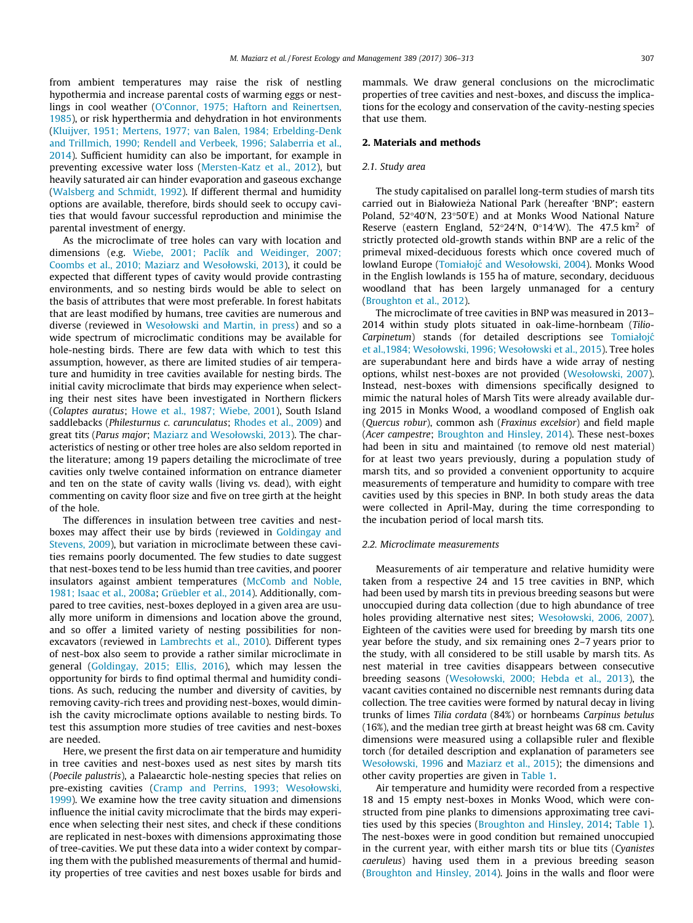from ambient temperatures may raise the risk of nestling hypothermia and increase parental costs of warming eggs or nestlings in cool weather ([O'Connor, 1975; Haftorn and Reinertsen,](#page-7-0) [1985\)](#page-7-0), or risk hyperthermia and dehydration in hot environments ([Kluijver, 1951; Mertens, 1977; van Balen, 1984; Erbelding-Denk](#page-7-0) [and Trillmich, 1990; Rendell and Verbeek, 1996; Salaberria et al.,](#page-7-0) [2014\)](#page-7-0). Sufficient humidity can also be important, for example in preventing excessive water loss [\(Mersten-Katz et al., 2012](#page-7-0)), but heavily saturated air can hinder evaporation and gaseous exchange ([Walsberg and Schmidt, 1992\)](#page-7-0). If different thermal and humidity options are available, therefore, birds should seek to occupy cavities that would favour successful reproduction and minimise the parental investment of energy.

As the microclimate of tree holes can vary with location and dimensions (e.g. [Wiebe, 2001; Paclík and Weidinger, 2007;](#page-7-0) [Coombs et al., 2010; Maziarz and Wesołowski, 2013](#page-7-0)), it could be expected that different types of cavity would provide contrasting environments, and so nesting birds would be able to select on the basis of attributes that were most preferable. In forest habitats that are least modified by humans, tree cavities are numerous and diverse (reviewed in [Wesołowski and Martin, in press\)](#page-7-0) and so a wide spectrum of microclimatic conditions may be available for hole-nesting birds. There are few data with which to test this assumption, however, as there are limited studies of air temperature and humidity in tree cavities available for nesting birds. The initial cavity microclimate that birds may experience when selecting their nest sites have been investigated in Northern flickers (Colaptes auratus; [Howe et al., 1987; Wiebe, 2001](#page-7-0)), South Island saddlebacks (Philesturnus c. carunculatus; [Rhodes et al., 2009\)](#page-7-0) and great tits (Parus major; [Maziarz and Wesołowski, 2013](#page-7-0)). The characteristics of nesting or other tree holes are also seldom reported in the literature; among 19 papers detailing the microclimate of tree cavities only twelve contained information on entrance diameter and ten on the state of cavity walls (living vs. dead), with eight commenting on cavity floor size and five on tree girth at the height of the hole.

The differences in insulation between tree cavities and nestboxes may affect their use by birds (reviewed in [Goldingay and](#page-7-0) [Stevens, 2009\)](#page-7-0), but variation in microclimate between these cavities remains poorly documented. The few studies to date suggest that nest-boxes tend to be less humid than tree cavities, and poorer insulators against ambient temperatures [\(McComb and Noble,](#page-7-0) [1981; Isaac et al., 2008a;](#page-7-0) [Grüebler et al., 2014](#page-7-0)). Additionally, compared to tree cavities, nest-boxes deployed in a given area are usually more uniform in dimensions and location above the ground, and so offer a limited variety of nesting possibilities for nonexcavators (reviewed in [Lambrechts et al., 2010](#page-7-0)). Different types of nest-box also seem to provide a rather similar microclimate in general ([Goldingay, 2015; Ellis, 2016\)](#page-7-0), which may lessen the opportunity for birds to find optimal thermal and humidity conditions. As such, reducing the number and diversity of cavities, by removing cavity-rich trees and providing nest-boxes, would diminish the cavity microclimate options available to nesting birds. To test this assumption more studies of tree cavities and nest-boxes are needed.

Here, we present the first data on air temperature and humidity in tree cavities and nest-boxes used as nest sites by marsh tits (Poecile palustris), a Palaearctic hole-nesting species that relies on pre-existing cavities ([Cramp and Perrins, 1993; Wesołowski,](#page-7-0) [1999\)](#page-7-0). We examine how the tree cavity situation and dimensions influence the initial cavity microclimate that the birds may experience when selecting their nest sites, and check if these conditions are replicated in nest-boxes with dimensions approximating those of tree-cavities. We put these data into a wider context by comparing them with the published measurements of thermal and humidity properties of tree cavities and nest boxes usable for birds and mammals. We draw general conclusions on the microclimatic properties of tree cavities and nest-boxes, and discuss the implications for the ecology and conservation of the cavity-nesting species that use them.

# 2. Materials and methods

# 2.1. Study area

The study capitalised on parallel long-term studies of marsh tits carried out in Białowieza National Park (hereafter 'BNP'; eastern \_ Poland, 52°40'N, 23°50'E) and at Monks Wood National Nature Reserve (eastern England,  $52^{\circ}24^{\prime}N$ , 0°14′W). The 47.5 km<sup>2</sup> of strictly protected old-growth stands within BNP are a relic of the primeval mixed-deciduous forests which once covered much of lowland Europe (Tomiałojć [and Wesołowski, 2004\)](#page-7-0). Monks Wood in the English lowlands is 155 ha of mature, secondary, deciduous woodland that has been largely unmanaged for a century ([Broughton et al., 2012](#page-7-0)).

The microclimate of tree cavities in BNP was measured in 2013– 2014 within study plots situated in oak-lime-hornbeam (Tilio-Carpinetum) stands (for detailed descriptions see [Tomiałojc´](#page-7-0) [et al.,1984; Wesołowski, 1996; Wesołowski et al., 2015](#page-7-0)). Tree holes are superabundant here and birds have a wide array of nesting options, whilst nest-boxes are not provided ([Wesołowski, 2007\)](#page-7-0). Instead, nest-boxes with dimensions specifically designed to mimic the natural holes of Marsh Tits were already available during 2015 in Monks Wood, a woodland composed of English oak (Quercus robur), common ash (Fraxinus excelsior) and field maple (Acer campestre; [Broughton and Hinsley, 2014\)](#page-7-0). These nest-boxes had been in situ and maintained (to remove old nest material) for at least two years previously, during a population study of marsh tits, and so provided a convenient opportunity to acquire measurements of temperature and humidity to compare with tree cavities used by this species in BNP. In both study areas the data were collected in April-May, during the time corresponding to the incubation period of local marsh tits.

# 2.2. Microclimate measurements

Measurements of air temperature and relative humidity were taken from a respective 24 and 15 tree cavities in BNP, which had been used by marsh tits in previous breeding seasons but were unoccupied during data collection (due to high abundance of tree holes providing alternative nest sites; [Wesołowski, 2006, 2007\)](#page-7-0). Eighteen of the cavities were used for breeding by marsh tits one year before the study, and six remaining ones 2–7 years prior to the study, with all considered to be still usable by marsh tits. As nest material in tree cavities disappears between consecutive breeding seasons [\(Wesołowski, 2000; Hebda et al., 2013\)](#page-7-0), the vacant cavities contained no discernible nest remnants during data collection. The tree cavities were formed by natural decay in living trunks of limes Tilia cordata (84%) or hornbeams Carpinus betulus (16%), and the median tree girth at breast height was 68 cm. Cavity dimensions were measured using a collapsible ruler and flexible torch (for detailed description and explanation of parameters see [Wesołowski, 1996](#page-7-0) and [Maziarz et al., 2015\)](#page-7-0); the dimensions and other cavity properties are given in [Table 1](#page-2-0).

Air temperature and humidity were recorded from a respective 18 and 15 empty nest-boxes in Monks Wood, which were constructed from pine planks to dimensions approximating tree cavities used by this species [\(Broughton and Hinsley, 2014;](#page-7-0) [Table 1\)](#page-2-0). The nest-boxes were in good condition but remained unoccupied in the current year, with either marsh tits or blue tits (Cyanistes caeruleus) having used them in a previous breeding season ([Broughton and Hinsley, 2014](#page-7-0)). Joins in the walls and floor were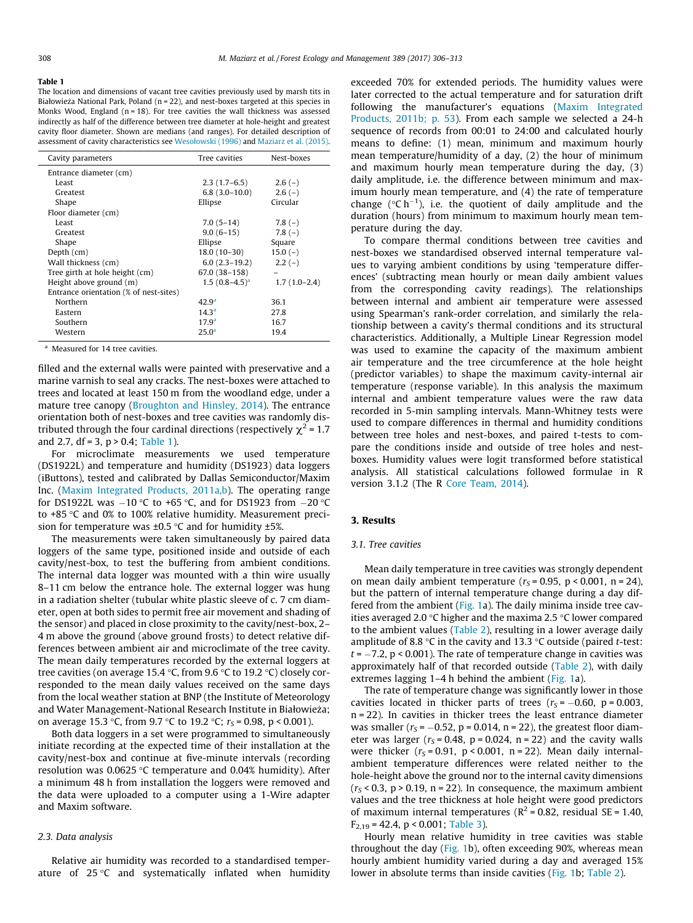#### <span id="page-2-0"></span>Table 1

The location and dimensions of vacant tree cavities previously used by marsh tits in Białowieża National Park, Poland ( $n = 22$ ), and nest-boxes targeted at this species in Monks Wood, England ( $n = 18$ ). For tree cavities the wall thickness was assessed indirectly as half of the difference between tree diameter at hole-height and greatest cavity floor diameter. Shown are medians (and ranges). For detailed description of assessment of cavity characteristics see [Wesołowski \(1996\)](#page-7-0) and [Maziarz et al. \(2015\)](#page-7-0).

| Cavity parameters                      | Tree cavities      | Nest-boxes     |
|----------------------------------------|--------------------|----------------|
| Entrance diameter (cm)                 |                    |                |
| Least                                  | $2.3(1.7-6.5)$     | $2.6(-)$       |
| Greatest                               | $6.8(3.0-10.0)$    | $2.6(-)$       |
| Shape                                  | Ellipse            | Circular       |
| Floor diameter (cm)                    |                    |                |
| Least                                  | $7.0(5-14)$        | $7.8(-)$       |
| Greatest                               | $9.0(6-15)$        | $7.8(-)$       |
| Shape                                  | Ellipse            | Square         |
| Depth (cm)                             | $18.0(10-30)$      | $15.0(-)$      |
| Wall thickness (cm)                    | $6.0(2.3-19.2)$    | $2.2(-)$       |
| Tree girth at hole height (cm)         | 67.0 (38-158)      |                |
| Height above ground (m)                | $1.5(0.8-4.5)^{a}$ | $1.7(1.0-2.4)$ |
| Entrance orientation (% of nest-sites) |                    |                |
| Northern                               | $42.9^{\circ}$     | 36.1           |
| Eastern                                | 14.3 <sup>a</sup>  | 27.8           |
| Southern                               | 17.9 <sup>a</sup>  | 16.7           |
| Western                                | 25.0 <sup>a</sup>  | 19.4           |

<sup>a</sup> Measured for 14 tree cavities.

filled and the external walls were painted with preservative and a marine varnish to seal any cracks. The nest-boxes were attached to trees and located at least 150 m from the woodland edge, under a mature tree canopy [\(Broughton and Hinsley, 2014](#page-7-0)). The entrance orientation both of nest-boxes and tree cavities was randomly distributed through the four cardinal directions (respectively  $\chi^2$  = 1.7 and 2.7, df = 3,  $p > 0.4$ ; Table 1).

For microclimate measurements we used temperature (DS1922L) and temperature and humidity (DS1923) data loggers (iButtons), tested and calibrated by Dallas Semiconductor/Maxim Inc. [\(Maxim Integrated Products, 2011a,b](#page-7-0)). The operating range for DS1922L was  $-10$  °C to +65 °C, and for DS1923 from  $-20$  °C to  $+85$  °C and 0% to 100% relative humidity. Measurement precision for temperature was  $\pm 0.5$  °C and for humidity  $\pm 5$ %.

The measurements were taken simultaneously by paired data loggers of the same type, positioned inside and outside of each cavity/nest-box, to test the buffering from ambient conditions. The internal data logger was mounted with a thin wire usually 8–11 cm below the entrance hole. The external logger was hung in a radiation shelter (tubular white plastic sleeve of c. 7 cm diameter, open at both sides to permit free air movement and shading of the sensor) and placed in close proximity to the cavity/nest-box, 2– 4 m above the ground (above ground frosts) to detect relative differences between ambient air and microclimate of the tree cavity. The mean daily temperatures recorded by the external loggers at tree cavities (on average 15.4 °C, from 9.6 °C to 19.2 °C) closely corresponded to the mean daily values received on the same days from the local weather station at BNP (the Institute of Meteorology and Water Management-National Research Institute in Białowieza; \_ on average 15.3 °C, from 9.7 °C to 19.2 °C;  $r_s = 0.98$ , p < 0.001).

Both data loggers in a set were programmed to simultaneously initiate recording at the expected time of their installation at the cavity/nest-box and continue at five-minute intervals (recording resolution was  $0.0625$  °C temperature and  $0.04\%$  humidity). After a minimum 48 h from installation the loggers were removed and the data were uploaded to a computer using a 1-Wire adapter and Maxim software.

# 2.3. Data analysis

Relative air humidity was recorded to a standardised temperature of  $25^{\circ}$ C and systematically inflated when humidity

exceeded 70% for extended periods. The humidity values were later corrected to the actual temperature and for saturation drift following the manufacturer's equations [\(Maxim Integrated](#page-7-0) [Products, 2011b; p. 53\)](#page-7-0). From each sample we selected a 24-h sequence of records from 00:01 to 24:00 and calculated hourly means to define: (1) mean, minimum and maximum hourly mean temperature/humidity of a day, (2) the hour of minimum and maximum hourly mean temperature during the day, (3) daily amplitude, i.e. the difference between minimum and maximum hourly mean temperature, and (4) the rate of temperature change ( $^{\circ}$ C h<sup>-1</sup>), i.e. the quotient of daily amplitude and the duration (hours) from minimum to maximum hourly mean temperature during the day.

To compare thermal conditions between tree cavities and nest-boxes we standardised observed internal temperature values to varying ambient conditions by using 'temperature differences' (subtracting mean hourly or mean daily ambient values from the corresponding cavity readings). The relationships between internal and ambient air temperature were assessed using Spearman's rank-order correlation, and similarly the relationship between a cavity's thermal conditions and its structural characteristics. Additionally, a Multiple Linear Regression model was used to examine the capacity of the maximum ambient air temperature and the tree circumference at the hole height (predictor variables) to shape the maximum cavity-internal air temperature (response variable). In this analysis the maximum internal and ambient temperature values were the raw data recorded in 5-min sampling intervals. Mann-Whitney tests were used to compare differences in thermal and humidity conditions between tree holes and nest-boxes, and paired t-tests to compare the conditions inside and outside of tree holes and nestboxes. Humidity values were logit transformed before statistical analysis. All statistical calculations followed formulae in R version 3.1.2 (The R [Core Team, 2014\)](#page-7-0).

# 3. Results

# 3.1. Tree cavities

Mean daily temperature in tree cavities was strongly dependent on mean daily ambient temperature  $(r<sub>S</sub> = 0.95, p < 0.001, n = 24)$ , but the pattern of internal temperature change during a day differed from the ambient ([Fig. 1a](#page-3-0)). The daily minima inside tree cavities averaged 2.0  $\degree$ C higher and the maxima 2.5  $\degree$ C lower compared to the ambient values [\(Table 2\)](#page-3-0), resulting in a lower average daily amplitude of 8.8 °C in the cavity and 13.3 °C outside (paired *t*-test:  $t = -7.2$ ,  $p < 0.001$ ). The rate of temperature change in cavities was approximately half of that recorded outside [\(Table 2](#page-3-0)), with daily extremes lagging 1–4 h behind the ambient ([Fig. 1](#page-3-0)a).

The rate of temperature change was significantly lower in those cavities located in thicker parts of trees  $(r<sub>S</sub> = -0.60, p = 0.003,$ n = 22). In cavities in thicker trees the least entrance diameter was smaller ( $r_s$  = -0.52, p = 0.014, n = 22), the greatest floor diameter was larger ( $r_s$  = 0.48, p = 0.024, n = 22) and the cavity walls were thicker ( $r_s$  = 0.91,  $p$  < 0.001, n = 22). Mean daily internalambient temperature differences were related neither to the hole-height above the ground nor to the internal cavity dimensions  $(r<sub>S</sub> < 0.3, p > 0.19, n = 22)$ . In consequence, the maximum ambient values and the tree thickness at hole height were good predictors of maximum internal temperatures ( $R^2$  = 0.82, residual SE = 1.40,  $F_{2,19} = 42.4$ , p < 0.001; [Table 3](#page-3-0)).

Hourly mean relative humidity in tree cavities was stable throughout the day ([Fig. 1b](#page-3-0)), often exceeding 90%, whereas mean hourly ambient humidity varied during a day and averaged 15% lower in absolute terms than inside cavities ([Fig. 1b](#page-3-0); [Table 2](#page-3-0)).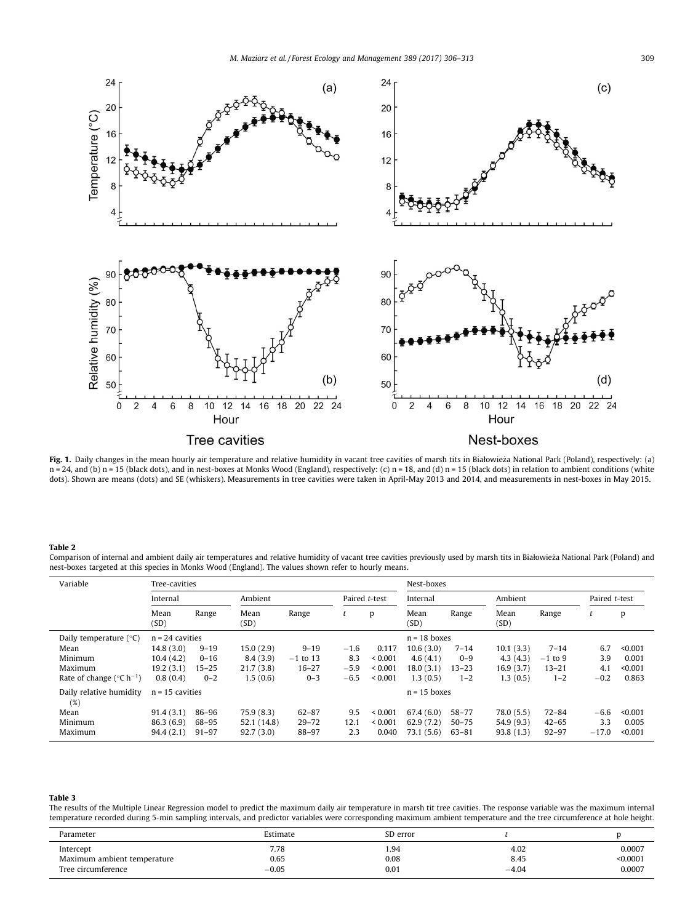<span id="page-3-0"></span>

Fig. 1. Daily changes in the mean hourly air temperature and relative humidity in vacant tree cavities of marsh tits in Białowieża National Park (Poland), respectively: (a) n = 24, and (b) n = 15 (black dots), and in nest-boxes at Monks Wood (England), respectively: (c) n = 18, and (d) n = 15 (black dots) in relation to ambient conditions (white dots). Shown are means (dots) and SE (whiskers). Measurements in tree cavities were taken in April-May 2013 and 2014, and measurements in nest-boxes in May 2015.

#### Table 2

Comparison of internal and ambient daily air temperatures and relative humidity of vacant tree cavities previously used by marsh tits in Białowieza National Park (Poland) and \_ nest-boxes targeted at this species in Monks Wood (England). The values shown refer to hourly means.

| Variable                                        | Tree-cavities     |           |              |                |               |              |                       | Nest-boxes     |              |           |               |         |  |  |
|-------------------------------------------------|-------------------|-----------|--------------|----------------|---------------|--------------|-----------------------|----------------|--------------|-----------|---------------|---------|--|--|
|                                                 | Internal          |           | Ambient      |                | Paired t-test |              | Internal              |                | Ambient      |           | Paired t-test |         |  |  |
|                                                 | Mean<br>(SD)      | Range     | Mean<br>(SD) | Range          | ι             | D            | Mean<br>Range<br>(SD) |                | Mean<br>(SD) | Range     |               | p       |  |  |
| Daily temperature $(°C)$                        | $n = 24$ cavities |           |              | $n = 18$ boxes |               |              |                       |                |              |           |               |         |  |  |
| Mean                                            | 14.8(3.0)         | $9 - 19$  | 15.0(2.9)    | $9 - 19$       | $-1.6$        | 0.117        | 10.6(3.0)             | $7 - 14$       | 10.1(3.3)    | $7 - 14$  | 6.7           | < 0.001 |  |  |
| Minimum                                         | 10.4(4.2)         | $0 - 16$  | 8.4(3.9)     | $-1$ to 13     | 8.3           | ${}_{0.001}$ | 4.6(4.1)              | $0 - 9$        | 4.3(4.3)     | $-1$ to 9 | 3.9           | 0.001   |  |  |
| Maximum                                         | 19.2(3.1)         | $15 - 25$ | 21.7(3.8)    | $16 - 27$      | $-5.9$        | ${}_{0.001}$ | 18.0(3.1)             | $13 - 23$      | 16.9(3.7)    | $13 - 21$ | 4.1           | < 0.001 |  |  |
| Rate of change ( $^{\circ}$ C h <sup>-1</sup> ) | 0.8(0.4)          | $0 - 2$   | 1.5(0.6)     | $0 - 3$        | $-6.5$        | ${}_{0.001}$ | 1.3(0.5)              | $1 - 2$        | 1.3(0.5)     | $1 - 2$   | $-0.2$        | 0.863   |  |  |
| Daily relative humidity<br>(%)                  | $n = 15$ cavities |           |              |                |               |              |                       | $n = 15$ boxes |              |           |               |         |  |  |
| Mean                                            | 91.4(3.1)         | 86–96     | 75.9(8.3)    | $62 - 87$      | 9.5           | ${}_{0.001}$ | 67.4(6.0)             | $58 - 77$      | 78.0(5.5)    | $72 - 84$ | $-6.6$        | < 0.001 |  |  |
| Minimum                                         | 86.3(6.9)         | 68-95     | 52.1 (14.8)  | $29 - 72$      | 12.1          | ${}_{0.001}$ | 62.9(7.2)             | $50 - 75$      | 54.9(9.3)    | $42 - 65$ | 3.3           | 0.005   |  |  |
| Maximum                                         | 94.4(2.1)         | $91 - 97$ | 92.7(3.0)    | 88-97          | 2.3           | 0.040        | 73.1 (5.6)            | $63 - 81$      | 93.8(1.3)    | $92 - 97$ | $-17.0$       | < 0.001 |  |  |

## Table 3

The results of the Multiple Linear Regression model to predict the maximum daily air temperature in marsh tit tree cavities. The response variable was the maximum internal temperature recorded during 5-min sampling intervals, and predictor variables were corresponding maximum ambient temperature and the tree circumference at hole height.

| Parameter                   | Estimate | SD error |         |          |
|-----------------------------|----------|----------|---------|----------|
| Intercept                   | 7.78     | 1.94     | 4.02    | 0.0007   |
| Maximum ambient temperature | 0.65     | 0.08     | 8.45    | < 0.0001 |
| Tree circumference          | $-0.05$  | 0.01     | $-4.04$ | 0.0007   |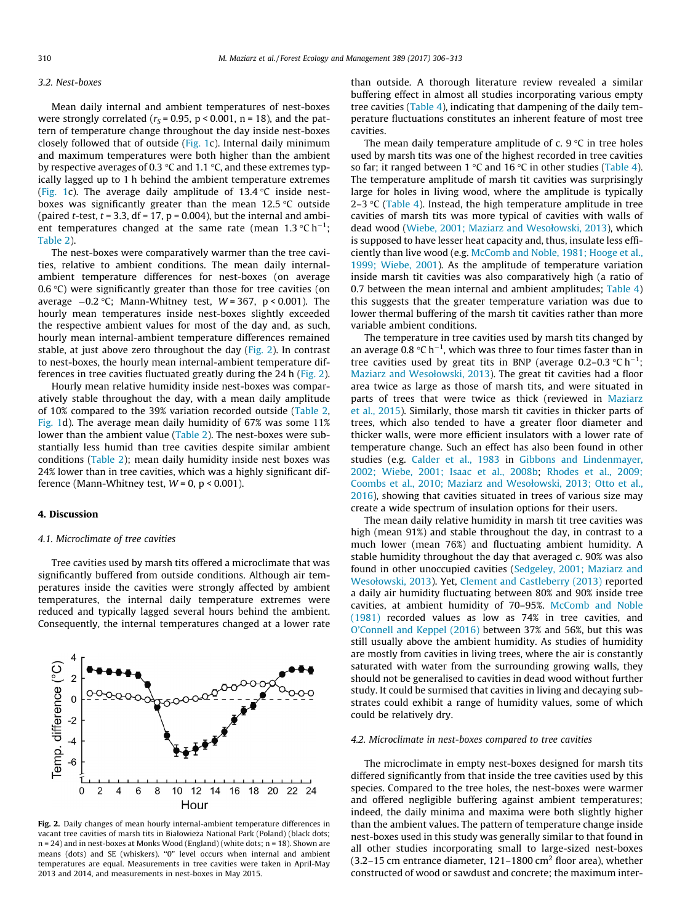## 3.2. Nest-boxes

Mean daily internal and ambient temperatures of nest-boxes were strongly correlated ( $r<sub>S</sub>$  = 0.95, p < 0.001, n = 18), and the pattern of temperature change throughout the day inside nest-boxes closely followed that of outside ([Fig. 1](#page-3-0)c). Internal daily minimum and maximum temperatures were both higher than the ambient by respective averages of 0.3  $\degree$ C and 1.1  $\degree$ C, and these extremes typically lagged up to 1 h behind the ambient temperature extremes ([Fig. 1c](#page-3-0)). The average daily amplitude of  $13.4$  °C inside nestboxes was significantly greater than the mean  $12.5$  °C outside (paired *t*-test,  $t = 3.3$ , df = 17,  $p = 0.004$ ), but the internal and ambient temperatures changed at the same rate (mean 1.3  $^{\circ}$ Ch $^{-1}$ ; [Table 2](#page-3-0)).

The nest-boxes were comparatively warmer than the tree cavities, relative to ambient conditions. The mean daily internalambient temperature differences for nest-boxes (on average 0.6  $\degree$ C) were significantly greater than those for tree cavities (on average  $-0.2$  °C; Mann-Whitney test, W=367, p<0.001). The hourly mean temperatures inside nest-boxes slightly exceeded the respective ambient values for most of the day and, as such, hourly mean internal-ambient temperature differences remained stable, at just above zero throughout the day (Fig. 2). In contrast to nest-boxes, the hourly mean internal-ambient temperature differences in tree cavities fluctuated greatly during the 24 h (Fig. 2).

Hourly mean relative humidity inside nest-boxes was comparatively stable throughout the day, with a mean daily amplitude of 10% compared to the 39% variation recorded outside ([Table 2,](#page-3-0) [Fig. 1d](#page-3-0)). The average mean daily humidity of 67% was some 11% lower than the ambient value ([Table 2\)](#page-3-0). The nest-boxes were substantially less humid than tree cavities despite similar ambient conditions [\(Table 2\)](#page-3-0); mean daily humidity inside nest boxes was 24% lower than in tree cavities, which was a highly significant difference (Mann-Whitney test,  $W = 0$ ,  $p < 0.001$ ).

# 4. Discussion

## 4.1. Microclimate of tree cavities

Tree cavities used by marsh tits offered a microclimate that was significantly buffered from outside conditions. Although air temperatures inside the cavities were strongly affected by ambient temperatures, the internal daily temperature extremes were reduced and typically lagged several hours behind the ambient. Consequently, the internal temperatures changed at a lower rate



Fig. 2. Daily changes of mean hourly internal-ambient temperature differences in vacant tree cavities of marsh tits in Białowieża National Park (Poland) (black dots; n = 24) and in nest-boxes at Monks Wood (England) (white dots; n = 18). Shown are means (dots) and SE (whiskers). "0" level occurs when internal and ambient temperatures are equal. Measurements in tree cavities were taken in April-May 2013 and 2014, and measurements in nest-boxes in May 2015.

than outside. A thorough literature review revealed a similar buffering effect in almost all studies incorporating various empty tree cavities ([Table 4](#page-5-0)), indicating that dampening of the daily temperature fluctuations constitutes an inherent feature of most tree cavities.

The mean daily temperature amplitude of c.  $9^{\circ}$ C in tree holes used by marsh tits was one of the highest recorded in tree cavities so far; it ranged between 1  $\degree$ C and 16  $\degree$ C in other studies [\(Table 4\)](#page-5-0). The temperature amplitude of marsh tit cavities was surprisingly large for holes in living wood, where the amplitude is typically 2–3  $\degree$ C [\(Table 4](#page-5-0)). Instead, the high temperature amplitude in tree cavities of marsh tits was more typical of cavities with walls of dead wood ([Wiebe, 2001; Maziarz and Wesołowski, 2013\)](#page-7-0), which is supposed to have lesser heat capacity and, thus, insulate less efficiently than live wood (e.g. [McComb and Noble, 1981; Hooge et al.,](#page-7-0) [1999; Wiebe, 2001](#page-7-0)). As the amplitude of temperature variation inside marsh tit cavities was also comparatively high (a ratio of 0.7 between the mean internal and ambient amplitudes; [Table 4\)](#page-5-0) this suggests that the greater temperature variation was due to lower thermal buffering of the marsh tit cavities rather than more variable ambient conditions.

The temperature in tree cavities used by marsh tits changed by an average 0.8  $\mathrm{C}$  h<sup>-1</sup>, which was three to four times faster than in tree cavities used by great tits in BNP (average 0.2–0.3  $\degree$ C h<sup>-1</sup>; [Maziarz and Wesołowski, 2013](#page-7-0)). The great tit cavities had a floor area twice as large as those of marsh tits, and were situated in parts of trees that were twice as thick (reviewed in [Maziarz](#page-7-0) [et al., 2015](#page-7-0)). Similarly, those marsh tit cavities in thicker parts of trees, which also tended to have a greater floor diameter and thicker walls, were more efficient insulators with a lower rate of temperature change. Such an effect has also been found in other studies (e.g. [Calder et al., 1983](#page-7-0) in [Gibbons and Lindenmayer,](#page-7-0) [2002; Wiebe, 2001; Isaac et al., 2008b](#page-7-0); [Rhodes et al., 2009;](#page-7-0) [Coombs et al., 2010; Maziarz and Wesołowski, 2013; Otto et al.,](#page-7-0) [2016\)](#page-7-0), showing that cavities situated in trees of various size may create a wide spectrum of insulation options for their users.

The mean daily relative humidity in marsh tit tree cavities was high (mean 91%) and stable throughout the day, in contrast to a much lower (mean 76%) and fluctuating ambient humidity. A stable humidity throughout the day that averaged c. 90% was also found in other unoccupied cavities [\(Sedgeley, 2001; Maziarz and](#page-7-0) [Wesołowski, 2013\)](#page-7-0). Yet, [Clement and Castleberry \(2013\)](#page-7-0) reported a daily air humidity fluctuating between 80% and 90% inside tree cavities, at ambient humidity of 70–95%. [McComb and Noble](#page-7-0) [\(1981\)](#page-7-0) recorded values as low as 74% in tree cavities, and [O'Connell and Keppel \(2016\)](#page-7-0) between 37% and 56%, but this was still usually above the ambient humidity. As studies of humidity are mostly from cavities in living trees, where the air is constantly saturated with water from the surrounding growing walls, they should not be generalised to cavities in dead wood without further study. It could be surmised that cavities in living and decaying substrates could exhibit a range of humidity values, some of which could be relatively dry.

# 4.2. Microclimate in nest-boxes compared to tree cavities

The microclimate in empty nest-boxes designed for marsh tits differed significantly from that inside the tree cavities used by this species. Compared to the tree holes, the nest-boxes were warmer and offered negligible buffering against ambient temperatures; indeed, the daily minima and maxima were both slightly higher than the ambient values. The pattern of temperature change inside nest-boxes used in this study was generally similar to that found in all other studies incorporating small to large-sized nest-boxes (3.2–15 cm entrance diameter, 121–1800 cm<sup>2</sup> floor area), whether constructed of wood or sawdust and concrete; the maximum inter-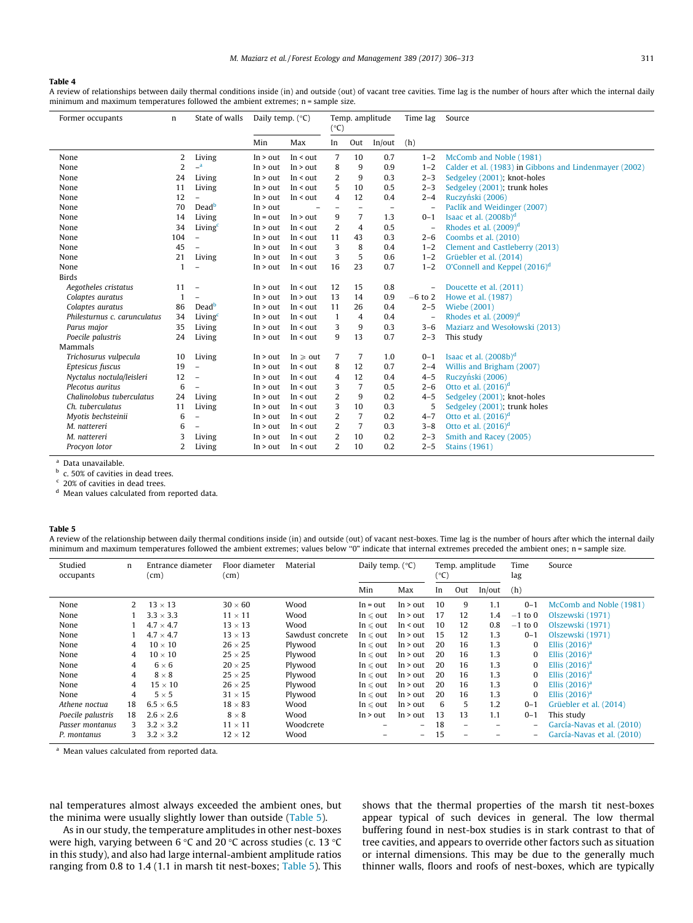#### <span id="page-5-0"></span>Table 4

A review of relationships between daily thermal conditions inside (in) and outside (out) of vacant tree cavities. Time lag is the number of hours after which the internal daily minimum and maximum temperatures followed the ambient extremes; n = sample size.

| Former occupants             | n              | State of walls            | Daily temp. $(^{\circ}C)$ |                    | Temp. amplitude<br>$(^{\circ}C)$ |                          | Time lag                 | Source                   |                                                        |
|------------------------------|----------------|---------------------------|---------------------------|--------------------|----------------------------------|--------------------------|--------------------------|--------------------------|--------------------------------------------------------|
|                              |                |                           | Min                       | Max                | In                               | Out                      | In/out                   | (h)                      |                                                        |
| None                         | 2              | Living                    | In > out                  | In $\leq$ out      | 7                                | 10                       | 0.7                      | $1 - 2$                  | McComb and Noble (1981)                                |
| None                         | $\overline{2}$ | $\mathbb{L}^{\mathsf{a}}$ | In > out                  | In > out           | 8                                | 9                        | 0.9                      | $1 - 2$                  | Calder et al. (1983) in Gibbons and Lindenmayer (2002) |
| None                         | 24             | Living                    | In > out                  | $In <$ out         | 2                                | 9                        | 0.3                      | $2 - 3$                  | Sedgeley (2001); knot-holes                            |
| None                         | 11             | Living                    | In > out                  | $In <$ out         | 5                                | 10                       | 0.5                      | $2 - 3$                  | Sedgeley (2001); trunk holes                           |
| None                         | 12             | $\overline{a}$            | In > out                  | In $\leq$ out      | 4                                | 12                       | 0.4                      | $2 - 4$                  | Ruczyński (2006)                                       |
| None                         | 70             | Dead <sup>b</sup>         | In > out                  |                    |                                  | $\overline{\phantom{0}}$ | $\overline{\phantom{a}}$ | $\qquad \qquad -$        | Paclík and Weidinger (2007)                            |
| None                         | 14             | Living                    | $In = out$                | In > out           | 9                                | 7                        | 1.3                      | $0 - 1$                  | Isaac et al. (2008b) <sup>d</sup>                      |
| None                         | 34             | Living <sup>c</sup>       | In > out                  | $In <$ out         | 2                                | $\overline{4}$           | 0.5                      | $\overline{\phantom{a}}$ | Rhodes et al. $(2009)^d$                               |
| None                         | 104            | $\overline{\phantom{a}}$  | In > out                  | $In <$ out         | 11                               | 43                       | 0.3                      | $2 - 6$                  | Coombs et al. (2010)                                   |
| None                         | 45             | $\overline{\phantom{0}}$  | In > out                  | $In <$ out         | 3                                | 8                        | 0.4                      | $1 - 2$                  | Clement and Castleberry (2013)                         |
| None                         | 21             | Living                    | In > out                  | In $\leq$ out      | 3                                | 5                        | 0.6                      | $1 - 2$                  | Grüebler et al. (2014)                                 |
| None                         | $\mathbf{1}$   | $\overline{a}$            | In > out                  | $In <$ out         | 16                               | 23                       | 0.7                      | $1 - 2$                  | O'Connell and Keppel (2016) <sup>d</sup>               |
| <b>Birds</b>                 |                |                           |                           |                    |                                  |                          |                          |                          |                                                        |
| Aegotheles cristatus         | 11             | $\overline{\phantom{a}}$  | In > out                  | $In <$ out         | 12                               | 15                       | 0.8                      | $\overline{\phantom{a}}$ | Doucette et al. (2011)                                 |
| Colaptes auratus             | 1              | ÷.                        | In > out                  | In > out           | 13                               | 14                       | 0.9                      | $-6$ to 2                | Howe et al. (1987)                                     |
| Colaptes auratus             | 86             | Dead <sup>b</sup>         | In > out                  | $In <$ out         | 11                               | 26                       | 0.4                      | $2 - 5$                  | Wiebe (2001)                                           |
| Philesturnus c. carunculatus | 34             | Living <sup>c</sup>       | In > out                  | $In <$ out         | $\mathbf{1}$                     | 4                        | 0.4                      | $\overline{a}$           | Rhodes et al. $(2009)^d$                               |
| Parus major                  | 35             | Living                    | In > out                  | In $\leq$ out      | 3                                | 9                        | 0.3                      | $3 - 6$                  | Maziarz and Wesołowski (2013)                          |
| Poecile palustris            | 24             | Living                    | In > out                  | $In <$ out         | 9                                | 13                       | 0.7                      | $2 - 3$                  | This study                                             |
| Mammals                      |                |                           |                           |                    |                                  |                          |                          |                          |                                                        |
| Trichosurus vulpecula        | 10             | Living                    | In > out                  | In $\geqslant$ out | 7                                | 7                        | 1.0                      | $0 - 1$                  | Isaac et al. $(2008b)^d$                               |
| Eptesicus fuscus             | 19             | $\overline{\phantom{a}}$  | In > out                  | $In <$ out         | 8                                | 12                       | 0.7                      | $2 - 4$                  | Willis and Brigham (2007)                              |
| Nyctalus noctula/leisleri    | 12             | $\overline{\phantom{m}}$  | In > out                  | In $\leq$ out      | 4                                | 12                       | 0.4                      | $4 - 5$                  | Ruczyński (2006)                                       |
| Plecotus auritus             | 6              | $\equiv$                  | In > out                  | In $\leq$ out      | 3                                | $\overline{7}$           | 0.5                      | $2 - 6$                  | Otto et al. $(2016)^d$                                 |
| Chalinolobus tuberculatus    | 24             | Living                    | In > out                  | In $\leq$ out      | 2                                | 9                        | 0.2                      | $4 - 5$                  | Sedgeley (2001); knot-holes                            |
| Ch. tuberculatus             | 11             | Living                    | In > out                  | $In <$ out         | 3                                | 10                       | 0.3                      | 5                        | Sedgeley (2001); trunk holes                           |
| Myotis bechsteinii           | 6              | $\overline{\phantom{0}}$  | In > out                  | $In <$ out         | 2                                | 7                        | 0.2                      | $4 - 7$                  | Otto et al. $(2016)^d$                                 |
| M. nattereri                 | 6              | $\overline{\phantom{a}}$  | In > out                  | $In <$ out         | 2                                | 7                        | 0.3                      | $3 - 8$                  | Otto et al. $(2016)^d$                                 |
| M. nattereri                 | 3              | Living                    | In > out                  | In $\leq$ out      | 2                                | 10                       | 0.2                      | $2 - 3$                  | Smith and Racey (2005)                                 |
| Procyon lotor                | 2              | Living                    | In > out                  | $In <$ out         | 2                                | 10                       | 0.2                      | $2 - 5$                  | <b>Stains (1961)</b>                                   |

Data unavailable.

<sup>b</sup> c. 50% of cavities in dead trees.

<sup>c</sup> 20% of cavities in dead trees.

<sup>d</sup> Mean values calculated from reported data.

## Table 5

A review of the relationship between daily thermal conditions inside (in) and outside (out) of vacant nest-boxes. Time lag is the number of hours after which the internal daily minimum and maximum temperatures followed the ambient extremes; values below "0" indicate that internal extremes preceded the ambient ones; n = sample size.

| Studied<br>occupants | n  | Entrance diameter<br>(cm) | Floor diameter<br>(cm) | Material         | Daily temp. $(^{\circ}C)$ |               | Temp. amplitude<br>(°C) |     |        | Time<br>lag  | Source                     |
|----------------------|----|---------------------------|------------------------|------------------|---------------------------|---------------|-------------------------|-----|--------|--------------|----------------------------|
|                      |    |                           |                        |                  | Min                       | Max           | In                      | Out | In/out | (h)          |                            |
| None                 | 2  | $13 \times 13$            | $30 \times 60$         | Wood             | $In = out$                | In > out      | 10                      | 9   | 1.1    | $0 - 1$      | McComb and Noble (1981)    |
| None                 |    | $3.3 \times 3.3$          | $11 \times 11$         | Wood             | In $\leqslant$ out        | In > out      | 17                      | 12  | 1.4    | to 0<br>$-1$ | Olszewski (1971)           |
| None                 |    | $4.7 \times 4.7$          | $13 \times 13$         | Wood             | $In \leq out$             | In $\leq$ out | 10                      | 12  | 0.8    | $-1$ to 0    | Olszewski (1971)           |
| None                 |    | 4.7<br>$\times$ 4.7       | $13 \times 13$         | Sawdust concrete | In $\leqslant$ out        | In > out      | 15                      | 12  | 1.3    | $0 - 1$      | Olszewski (1971)           |
| None                 | 4  | $10 \times 10$            | $26 \times 25$         | Plywood          | In $\leqslant$ out        | In > out      | 20                      | 16  | 1.3    | 0            | Ellis $(2016)^a$           |
| None                 | 4  | $10 \times 10$            | $25 \times 25$         | Plywood          | $In \leq out$             | In > out      | 20                      | 16  | 1.3    | 0            | Ellis $(2016)^a$           |
| None                 | 4  | $6 \times 6$              | $20 \times 25$         | Plywood          | In $\leqslant$ out        | In > out      | 20                      | 16  | 1.3    | 0            | Ellis $(2016)^a$           |
| None                 | 4  | $8 \times 8$              | $25 \times 25$         | Plywood          | In $\leqslant$ out        | In > out      | 20                      | 16  | 1.3    | 0            | Ellis $(2016)^a$           |
| None                 | 4  | $15 \times 10$            | $26 \times 25$         | Plywood          | In $\leq$ out             | In > out      | 20                      | 16  | 1.3    | 0            | Ellis $(2016)^d$           |
| None                 | 4  | $5 \times 5$              | $31 \times 15$         | Plywood          | In $\leqslant$ out        | In > out      | 20                      | 16  | 1.3    | 0            | Ellis $(2016)^a$           |
| Athene noctua        | 18 | $6.5 \times 6.5$          | $18 \times 83$         | Wood             | In $\leqslant$ out        | In > out      | 6                       | 5   | 1.2    | $0 - 1$      | Grüebler et al. (2014)     |
| Poecile palustris    | 18 | $2.6 \times 2.6$          | $8 \times 8$           | Wood             | In > out                  | In > out      | 13                      | 13  | 1.1    | $0 - 1$      | This study                 |
| Passer montanus      | 3  | $3.2 \times 3.2$          | $11 \times 11$         | Woodcrete        | $\equiv$                  | Ξ.            | 18                      | -   | ۰      | -            | García-Navas et al. (2010) |
| P. montanus          | 3  | $3.2 \times 3.2$          | $12 \times 12$         | Wood             | -                         | Ξ.            | 15                      | ۰   |        | -            | García-Navas et al. (2010) |

<sup>a</sup> Mean values calculated from reported data.

nal temperatures almost always exceeded the ambient ones, but the minima were usually slightly lower than outside (Table 5).

As in our study, the temperature amplitudes in other nest-boxes were high, varying between 6 °C and 20 °C across studies (c. 13 °C in this study), and also had large internal-ambient amplitude ratios ranging from 0.8 to 1.4 (1.1 in marsh tit nest-boxes; Table 5). This shows that the thermal properties of the marsh tit nest-boxes appear typical of such devices in general. The low thermal buffering found in nest-box studies is in stark contrast to that of tree cavities, and appears to override other factors such as situation or internal dimensions. This may be due to the generally much thinner walls, floors and roofs of nest-boxes, which are typically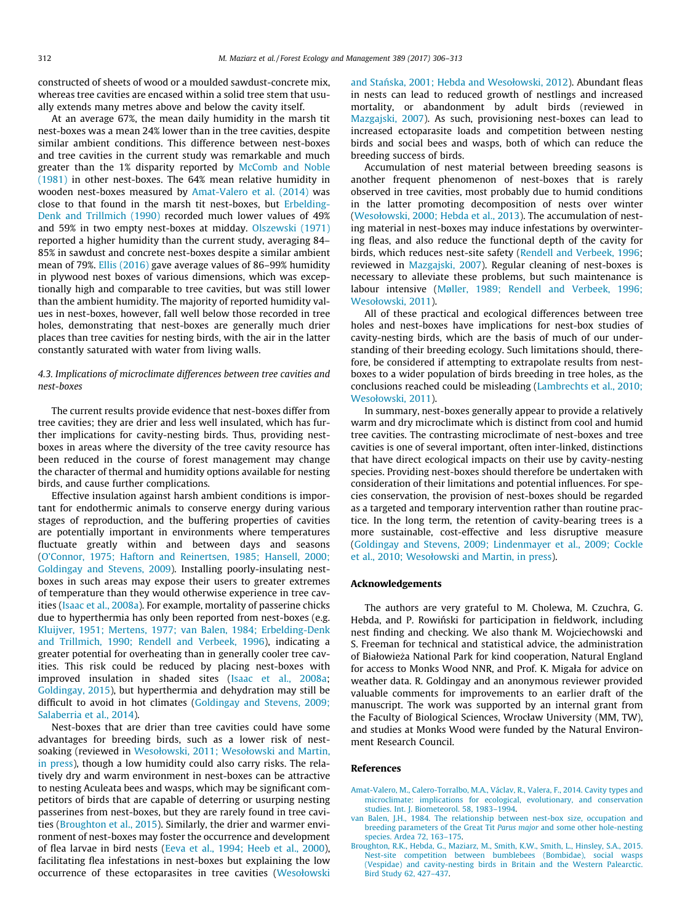constructed of sheets of wood or a moulded sawdust-concrete mix, whereas tree cavities are encased within a solid tree stem that usually extends many metres above and below the cavity itself.

At an average 67%, the mean daily humidity in the marsh tit nest-boxes was a mean 24% lower than in the tree cavities, despite similar ambient conditions. This difference between nest-boxes and tree cavities in the current study was remarkable and much greater than the 1% disparity reported by [McComb and Noble](#page-7-0) [\(1981\)](#page-7-0) in other nest-boxes. The 64% mean relative humidity in wooden nest-boxes measured by Amat-Valero et al. (2014) was close to that found in the marsh tit nest-boxes, but [Erbelding-](#page-7-0)[Denk and Trillmich \(1990\)](#page-7-0) recorded much lower values of 49% and 59% in two empty nest-boxes at midday. [Olszewski \(1971\)](#page-7-0) reported a higher humidity than the current study, averaging 84– 85% in sawdust and concrete nest-boxes despite a similar ambient mean of 79%. [Ellis \(2016\)](#page-7-0) gave average values of 86–99% humidity in plywood nest boxes of various dimensions, which was exceptionally high and comparable to tree cavities, but was still lower than the ambient humidity. The majority of reported humidity values in nest-boxes, however, fall well below those recorded in tree holes, demonstrating that nest-boxes are generally much drier places than tree cavities for nesting birds, with the air in the latter constantly saturated with water from living walls.

# 4.3. Implications of microclimate differences between tree cavities and nest-boxes

The current results provide evidence that nest-boxes differ from tree cavities; they are drier and less well insulated, which has further implications for cavity-nesting birds. Thus, providing nestboxes in areas where the diversity of the tree cavity resource has been reduced in the course of forest management may change the character of thermal and humidity options available for nesting birds, and cause further complications.

Effective insulation against harsh ambient conditions is important for endothermic animals to conserve energy during various stages of reproduction, and the buffering properties of cavities are potentially important in environments where temperatures fluctuate greatly within and between days and seasons ([O'Connor, 1975; Haftorn and Reinertsen, 1985; Hansell, 2000;](#page-7-0) [Goldingay and Stevens, 2009\)](#page-7-0). Installing poorly-insulating nestboxes in such areas may expose their users to greater extremes of temperature than they would otherwise experience in tree cavities ([Isaac et al., 2008a](#page-7-0)). For example, mortality of passerine chicks due to hyperthermia has only been reported from nest-boxes (e.g. [Kluijver, 1951; Mertens, 1977; van Balen, 1984; Erbelding-Denk](#page-7-0) [and Trillmich, 1990; Rendell and Verbeek, 1996](#page-7-0)), indicating a greater potential for overheating than in generally cooler tree cavities. This risk could be reduced by placing nest-boxes with improved insulation in shaded sites ([Isaac et al., 2008a;](#page-7-0) [Goldingay, 2015\)](#page-7-0), but hyperthermia and dehydration may still be difficult to avoid in hot climates ([Goldingay and Stevens, 2009;](#page-7-0) [Salaberria et al., 2014](#page-7-0)).

Nest-boxes that are drier than tree cavities could have some advantages for breeding birds, such as a lower risk of nestsoaking (reviewed in [Wesołowski, 2011; Wesołowski and Martin,](#page-7-0) [in press\)](#page-7-0), though a low humidity could also carry risks. The relatively dry and warm environment in nest-boxes can be attractive to nesting Aculeata bees and wasps, which may be significant competitors of birds that are capable of deterring or usurping nesting passerines from nest-boxes, but they are rarely found in tree cavities (Broughton et al., 2015). Similarly, the drier and warmer environment of nest-boxes may foster the occurrence and development of flea larvae in bird nests [\(Eeva et al., 1994; Heeb et al., 2000\)](#page-7-0), facilitating flea infestations in nest-boxes but explaining the low occurrence of these ectoparasites in tree cavities [\(Wesołowski](#page-7-0) and Stań[ska, 2001; Hebda and Wesołowski, 2012](#page-7-0)). Abundant fleas in nests can lead to reduced growth of nestlings and increased mortality, or abandonment by adult birds (reviewed in [Mazgajski, 2007\)](#page-7-0). As such, provisioning nest-boxes can lead to increased ectoparasite loads and competition between nesting birds and social bees and wasps, both of which can reduce the breeding success of birds.

Accumulation of nest material between breeding seasons is another frequent phenomenon of nest-boxes that is rarely observed in tree cavities, most probably due to humid conditions in the latter promoting decomposition of nests over winter ([Wesołowski, 2000; Hebda et al., 2013\)](#page-7-0). The accumulation of nesting material in nest-boxes may induce infestations by overwintering fleas, and also reduce the functional depth of the cavity for birds, which reduces nest-site safety [\(Rendell and Verbeek, 1996;](#page-7-0) reviewed in [Mazgajski, 2007\)](#page-7-0). Regular cleaning of nest-boxes is necessary to alleviate these problems, but such maintenance is labour intensive [\(Møller, 1989; Rendell and Verbeek, 1996;](#page-7-0) [Wesołowski, 2011\)](#page-7-0).

All of these practical and ecological differences between tree holes and nest-boxes have implications for nest-box studies of cavity-nesting birds, which are the basis of much of our understanding of their breeding ecology. Such limitations should, therefore, be considered if attempting to extrapolate results from nestboxes to a wider population of birds breeding in tree holes, as the conclusions reached could be misleading ([Lambrechts et al., 2010;](#page-7-0) [Wesołowski, 2011\)](#page-7-0).

In summary, nest-boxes generally appear to provide a relatively warm and dry microclimate which is distinct from cool and humid tree cavities. The contrasting microclimate of nest-boxes and tree cavities is one of several important, often inter-linked, distinctions that have direct ecological impacts on their use by cavity-nesting species. Providing nest-boxes should therefore be undertaken with consideration of their limitations and potential influences. For species conservation, the provision of nest-boxes should be regarded as a targeted and temporary intervention rather than routine practice. In the long term, the retention of cavity-bearing trees is a more sustainable, cost-effective and less disruptive measure ([Goldingay and Stevens, 2009; Lindenmayer et al., 2009; Cockle](#page-7-0) [et al., 2010; Wesołowski and Martin, in press](#page-7-0)).

# Acknowledgements

The authors are very grateful to M. Cholewa, M. Czuchra, G. Hebda, and P. Rowiński for participation in fieldwork, including nest finding and checking. We also thank M. Wojciechowski and S. Freeman for technical and statistical advice, the administration of Białowieza National Park for kind cooperation, Natural England \_ for access to Monks Wood NNR, and Prof. K. Migała for advice on weather data. R. Goldingay and an anonymous reviewer provided valuable comments for improvements to an earlier draft of the manuscript. The work was supported by an internal grant from the Faculty of Biological Sciences, Wrocław University (MM, TW), and studies at Monks Wood were funded by the Natural Environment Research Council.

## References

- [Amat-Valero, M., Calero-Torralbo, M.A., Václav, R., Valera, F., 2014. Cavity types and](http://refhub.elsevier.com/S0378-1127(16)30915-X/h0005) [microclimate: implications for ecological, evolutionary, and conservation](http://refhub.elsevier.com/S0378-1127(16)30915-X/h0005) [studies. Int. J. Biometeorol. 58, 1983–1994](http://refhub.elsevier.com/S0378-1127(16)30915-X/h0005).
- [van Balen, J.H., 1984. The relationship between nest-box size, occupation and](http://refhub.elsevier.com/S0378-1127(16)30915-X/h0010) [breeding parameters of the Great Tit](http://refhub.elsevier.com/S0378-1127(16)30915-X/h0010) Parus major and some other hole-nesting [species. Ardea 72, 163–175.](http://refhub.elsevier.com/S0378-1127(16)30915-X/h0010)
- [Broughton, R.K., Hebda, G., Maziarz, M., Smith, K.W., Smith, L., Hinsley, S.A., 2015.](http://refhub.elsevier.com/S0378-1127(16)30915-X/h0015) [Nest-site competition between bumblebees \(Bombidae\), social wasps](http://refhub.elsevier.com/S0378-1127(16)30915-X/h0015) [\(Vespidae\) and cavity-nesting birds in Britain and the Western Palearctic.](http://refhub.elsevier.com/S0378-1127(16)30915-X/h0015) [Bird Study 62, 427–437.](http://refhub.elsevier.com/S0378-1127(16)30915-X/h0015)